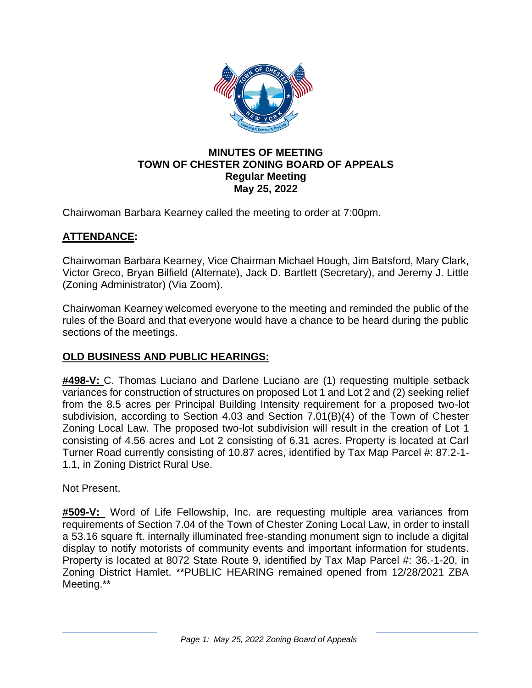

## **MINUTES OF MEETING TOWN OF CHESTER ZONING BOARD OF APPEALS Regular Meeting May 25, 2022**

Chairwoman Barbara Kearney called the meeting to order at 7:00pm.

# **ATTENDANCE:**

Chairwoman Barbara Kearney, Vice Chairman Michael Hough, Jim Batsford, Mary Clark, Victor Greco, Bryan Bilfield (Alternate), Jack D. Bartlett (Secretary), and Jeremy J. Little (Zoning Administrator) (Via Zoom).

Chairwoman Kearney welcomed everyone to the meeting and reminded the public of the rules of the Board and that everyone would have a chance to be heard during the public sections of the meetings.

# **OLD BUSINESS AND PUBLIC HEARINGS:**

**#498-V:** C. Thomas Luciano and Darlene Luciano are (1) requesting multiple setback variances for construction of structures on proposed Lot 1 and Lot 2 and (2) seeking relief from the 8.5 acres per Principal Building Intensity requirement for a proposed two-lot subdivision, according to Section 4.03 and Section 7.01(B)(4) of the Town of Chester Zoning Local Law. The proposed two-lot subdivision will result in the creation of Lot 1 consisting of 4.56 acres and Lot 2 consisting of 6.31 acres. Property is located at Carl Turner Road currently consisting of 10.87 acres, identified by Tax Map Parcel #: 87.2-1- 1.1, in Zoning District Rural Use.

Not Present.

**#509-V:** Word of Life Fellowship, Inc. are requesting multiple area variances from requirements of Section 7.04 of the Town of Chester Zoning Local Law, in order to install a 53.16 square ft. internally illuminated free-standing monument sign to include a digital display to notify motorists of community events and important information for students. Property is located at 8072 State Route 9, identified by Tax Map Parcel #: 36.-1-20, in Zoning District Hamlet. \*\*PUBLIC HEARING remained opened from 12/28/2021 ZBA Meeting.\*\*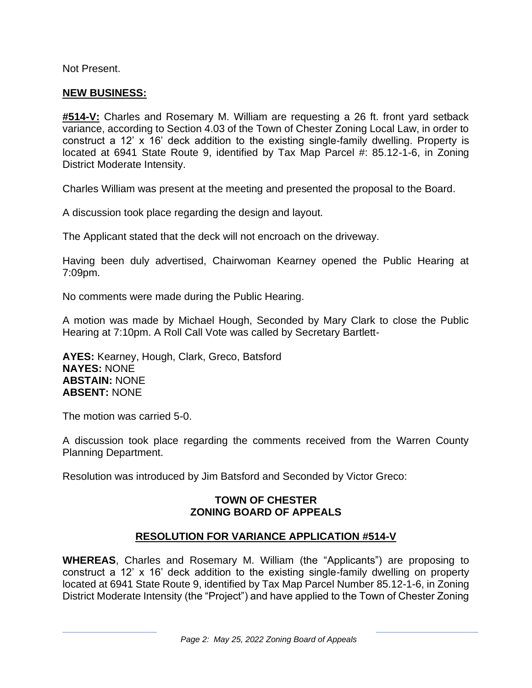Not Present.

## **NEW BUSINESS:**

**#514-V:** Charles and Rosemary M. William are requesting a 26 ft. front yard setback variance, according to Section 4.03 of the Town of Chester Zoning Local Law, in order to construct a 12' x 16' deck addition to the existing single-family dwelling. Property is located at 6941 State Route 9, identified by Tax Map Parcel #: 85.12-1-6, in Zoning District Moderate Intensity.

Charles William was present at the meeting and presented the proposal to the Board.

A discussion took place regarding the design and layout.

The Applicant stated that the deck will not encroach on the driveway.

Having been duly advertised, Chairwoman Kearney opened the Public Hearing at 7:09pm.

No comments were made during the Public Hearing.

A motion was made by Michael Hough, Seconded by Mary Clark to close the Public Hearing at 7:10pm. A Roll Call Vote was called by Secretary Bartlett-

**AYES:** Kearney, Hough, Clark, Greco, Batsford **NAYES:** NONE **ABSTAIN:** NONE **ABSENT:** NONE

The motion was carried 5-0.

A discussion took place regarding the comments received from the Warren County Planning Department.

Resolution was introduced by Jim Batsford and Seconded by Victor Greco:

## **TOWN OF CHESTER ZONING BOARD OF APPEALS**

## **RESOLUTION FOR VARIANCE APPLICATION #514-V**

**WHEREAS**, Charles and Rosemary M. William (the "Applicants") are proposing to construct a 12' x 16' deck addition to the existing single-family dwelling on property located at 6941 State Route 9, identified by Tax Map Parcel Number 85.12-1-6, in Zoning District Moderate Intensity (the "Project") and have applied to the Town of Chester Zoning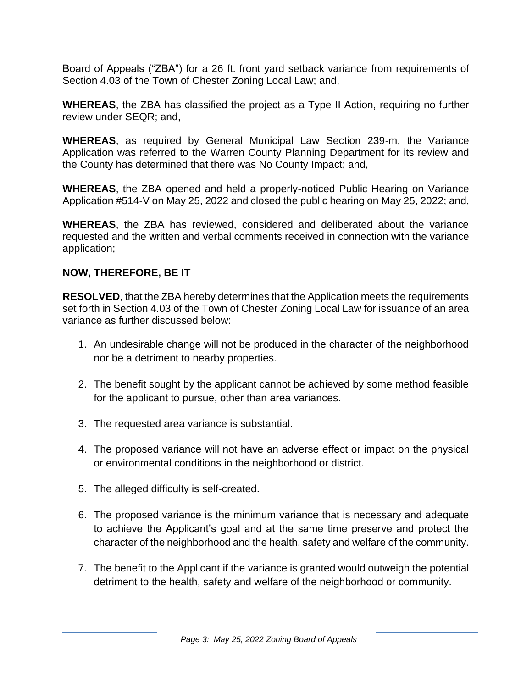Board of Appeals ("ZBA") for a 26 ft. front yard setback variance from requirements of Section 4.03 of the Town of Chester Zoning Local Law; and,

**WHEREAS**, the ZBA has classified the project as a Type II Action, requiring no further review under SEQR; and,

**WHEREAS**, as required by General Municipal Law Section 239-m, the Variance Application was referred to the Warren County Planning Department for its review and the County has determined that there was No County Impact; and,

**WHEREAS**, the ZBA opened and held a properly-noticed Public Hearing on Variance Application #514-V on May 25, 2022 and closed the public hearing on May 25, 2022; and,

**WHEREAS**, the ZBA has reviewed, considered and deliberated about the variance requested and the written and verbal comments received in connection with the variance application;

## **NOW, THEREFORE, BE IT**

**RESOLVED**, that the ZBA hereby determines that the Application meets the requirements set forth in Section 4.03 of the Town of Chester Zoning Local Law for issuance of an area variance as further discussed below:

- 1. An undesirable change will not be produced in the character of the neighborhood nor be a detriment to nearby properties.
- 2. The benefit sought by the applicant cannot be achieved by some method feasible for the applicant to pursue, other than area variances.
- 3. The requested area variance is substantial.
- 4. The proposed variance will not have an adverse effect or impact on the physical or environmental conditions in the neighborhood or district.
- 5. The alleged difficulty is self-created.
- 6. The proposed variance is the minimum variance that is necessary and adequate to achieve the Applicant's goal and at the same time preserve and protect the character of the neighborhood and the health, safety and welfare of the community.
- 7. The benefit to the Applicant if the variance is granted would outweigh the potential detriment to the health, safety and welfare of the neighborhood or community.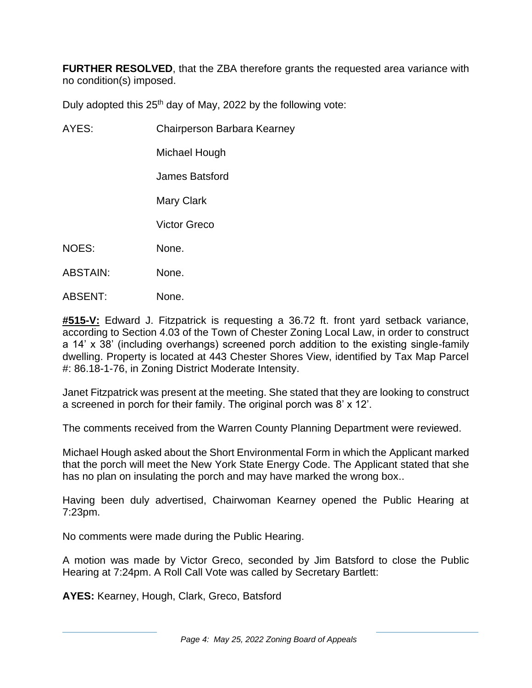**FURTHER RESOLVED**, that the ZBA therefore grants the requested area variance with no condition(s) imposed.

Duly adopted this  $25<sup>th</sup>$  day of May, 2022 by the following vote:

AYES: Chairperson Barbara Kearney

Michael Hough

James Batsford

Mary Clark

Victor Greco

- NOES: None.
- ABSTAIN: None.
- ABSENT: None.

**#515-V:** Edward J. Fitzpatrick is requesting a 36.72 ft. front yard setback variance, according to Section 4.03 of the Town of Chester Zoning Local Law, in order to construct a 14' x 38' (including overhangs) screened porch addition to the existing single-family dwelling. Property is located at 443 Chester Shores View, identified by Tax Map Parcel #: 86.18-1-76, in Zoning District Moderate Intensity.

Janet Fitzpatrick was present at the meeting. She stated that they are looking to construct a screened in porch for their family. The original porch was 8' x 12'.

The comments received from the Warren County Planning Department were reviewed.

Michael Hough asked about the Short Environmental Form in which the Applicant marked that the porch will meet the New York State Energy Code. The Applicant stated that she has no plan on insulating the porch and may have marked the wrong box..

Having been duly advertised, Chairwoman Kearney opened the Public Hearing at 7:23pm.

No comments were made during the Public Hearing.

A motion was made by Victor Greco, seconded by Jim Batsford to close the Public Hearing at 7:24pm. A Roll Call Vote was called by Secretary Bartlett:

**AYES:** Kearney, Hough, Clark, Greco, Batsford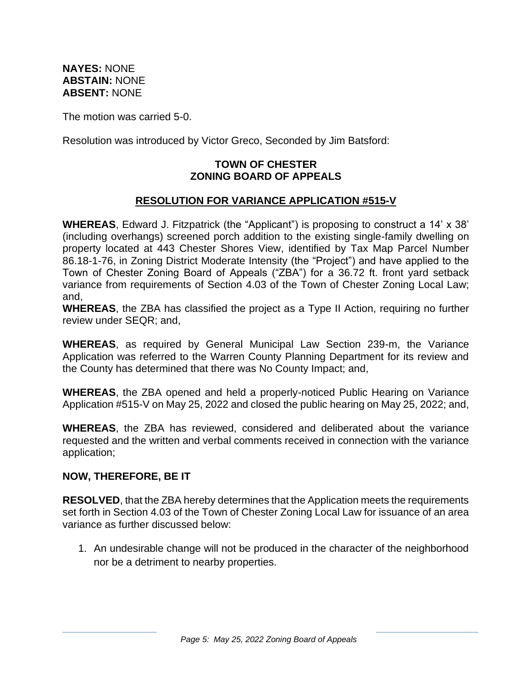**NAYES:** NONE **ABSTAIN:** NONE **ABSENT:** NONE

The motion was carried 5-0.

Resolution was introduced by Victor Greco, Seconded by Jim Batsford:

#### **TOWN OF CHESTER ZONING BOARD OF APPEALS**

## **RESOLUTION FOR VARIANCE APPLICATION #515-V**

**WHEREAS**, Edward J. Fitzpatrick (the "Applicant") is proposing to construct a 14' x 38' (including overhangs) screened porch addition to the existing single-family dwelling on property located at 443 Chester Shores View, identified by Tax Map Parcel Number 86.18-1-76, in Zoning District Moderate Intensity (the "Project") and have applied to the Town of Chester Zoning Board of Appeals ("ZBA") for a 36.72 ft. front yard setback variance from requirements of Section 4.03 of the Town of Chester Zoning Local Law; and,

**WHEREAS**, the ZBA has classified the project as a Type II Action, requiring no further review under SEQR; and,

**WHEREAS**, as required by General Municipal Law Section 239-m, the Variance Application was referred to the Warren County Planning Department for its review and the County has determined that there was No County Impact; and,

**WHEREAS**, the ZBA opened and held a properly-noticed Public Hearing on Variance Application #515-V on May 25, 2022 and closed the public hearing on May 25, 2022; and,

**WHEREAS**, the ZBA has reviewed, considered and deliberated about the variance requested and the written and verbal comments received in connection with the variance application;

#### **NOW, THEREFORE, BE IT**

**RESOLVED**, that the ZBA hereby determines that the Application meets the requirements set forth in Section 4.03 of the Town of Chester Zoning Local Law for issuance of an area variance as further discussed below:

1. An undesirable change will not be produced in the character of the neighborhood nor be a detriment to nearby properties.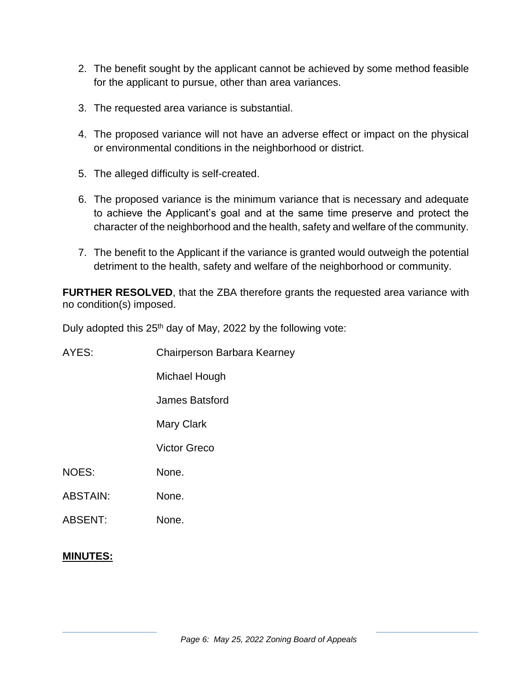- 2. The benefit sought by the applicant cannot be achieved by some method feasible for the applicant to pursue, other than area variances.
- 3. The requested area variance is substantial.
- 4. The proposed variance will not have an adverse effect or impact on the physical or environmental conditions in the neighborhood or district.
- 5. The alleged difficulty is self-created.
- 6. The proposed variance is the minimum variance that is necessary and adequate to achieve the Applicant's goal and at the same time preserve and protect the character of the neighborhood and the health, safety and welfare of the community.
- 7. The benefit to the Applicant if the variance is granted would outweigh the potential detriment to the health, safety and welfare of the neighborhood or community.

**FURTHER RESOLVED**, that the ZBA therefore grants the requested area variance with no condition(s) imposed.

Duly adopted this 25<sup>th</sup> day of May, 2022 by the following vote:

| AYES:           | Chairperson Barbara Kearney |
|-----------------|-----------------------------|
|                 | Michael Hough               |
|                 | James Batsford              |
|                 | Mary Clark                  |
|                 | Victor Greco                |
| <b>NOES:</b>    | None.                       |
| <b>ABSTAIN:</b> | None.                       |
| <b>ABSENT:</b>  | None.                       |
|                 |                             |

#### **MINUTES:**